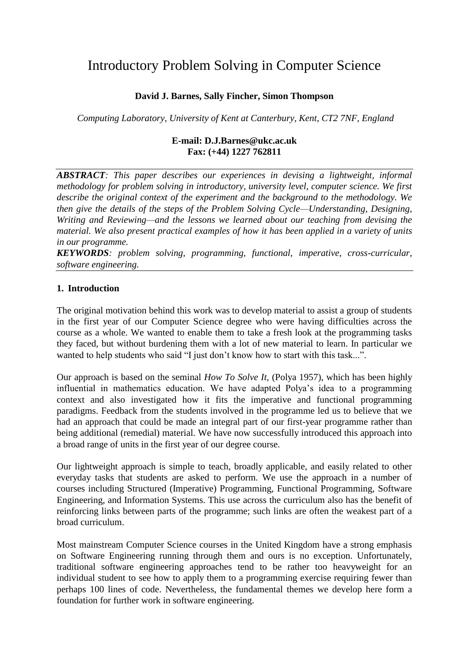# Introductory Problem Solving in Computer Science

# **David J. Barnes, Sally Fincher, Simon Thompson**

*Computing Laboratory, University of Kent at Canterbury, Kent, CT2 7NF, England*

#### **E-mail: D.J.Barnes@ukc.ac.uk Fax: (+44) 1227 762811**

*ABSTRACT: This paper describes our experiences in devising a lightweight, informal methodology for problem solving in introductory, university level, computer science. We first describe the original context of the experiment and the background to the methodology. We then give the details of the steps of the Problem Solving Cycle—Understanding, Designing, Writing and Reviewing—and the lessons we learned about our teaching from devising the material. We also present practical examples of how it has been applied in a variety of units in our programme.*

*KEYWORDS: problem solving, programming, functional, imperative, cross-curricular, software engineering.*

#### **1. Introduction**

The original motivation behind this work was to develop material to assist a group of students in the first year of our Computer Science degree who were having difficulties across the course as a whole. We wanted to enable them to take a fresh look at the programming tasks they faced, but without burdening them with a lot of new material to learn. In particular we wanted to help students who said "I just don't know how to start with this task...".

Our approach is based on the seminal *How To Solve It,* (Polya 1957), which has been highly influential in mathematics education. We have adapted Polya"s idea to a programming context and also investigated how it fits the imperative and functional programming paradigms. Feedback from the students involved in the programme led us to believe that we had an approach that could be made an integral part of our first-year programme rather than being additional (remedial) material. We have now successfully introduced this approach into a broad range of units in the first year of our degree course.

Our lightweight approach is simple to teach, broadly applicable, and easily related to other everyday tasks that students are asked to perform. We use the approach in a number of courses including Structured (Imperative) Programming, Functional Programming, Software Engineering, and Information Systems. This use across the curriculum also has the benefit of reinforcing links between parts of the programme; such links are often the weakest part of a broad curriculum.

Most mainstream Computer Science courses in the United Kingdom have a strong emphasis on Software Engineering running through them and ours is no exception. Unfortunately, traditional software engineering approaches tend to be rather too heavyweight for an individual student to see how to apply them to a programming exercise requiring fewer than perhaps 100 lines of code. Nevertheless, the fundamental themes we develop here form a foundation for further work in software engineering.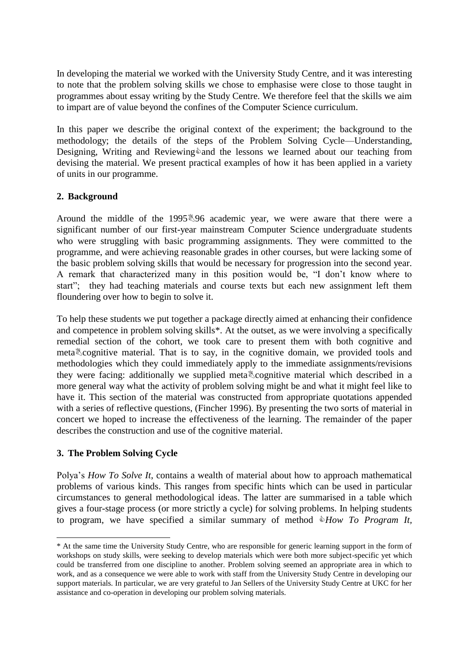In developing the material we worked with the University Study Centre, and it was interesting to note that the problem solving skills we chose to emphasise were close to those taught in programmes about essay writing by the Study Centre. We therefore feel that the skills we aim to impart are of value beyond the confines of the Computer Science curriculum.

In this paper we describe the original context of the experiment; the background to the methodology; the details of the steps of the Problem Solving Cycle—Understanding, Designing, Writing and Reviewing $\Diamond$  and the lessons we learned about our teaching from devising the material. We present practical examples of how it has been applied in a variety of units in our programme.

### **2. Background**

Around the middle of the 1995 \\$96 academic year, we were aware that there were a significant number of our first-year mainstream Computer Science undergraduate students who were struggling with basic programming assignments. They were committed to the programme, and were achieving reasonable grades in other courses, but were lacking some of the basic problem solving skills that would be necessary for progression into the second year. A remark that characterized many in this position would be, "I don"t know where to start"; they had teaching materials and course texts but each new assignment left them floundering over how to begin to solve it.

To help these students we put together a package directly aimed at enhancing their confidence and competence in problem solving skills\*. At the outset, as we were involving a specifically remedial section of the cohort, we took care to present them with both cognitive and meta cognitive material. That is to say, in the cognitive domain, we provided tools and methodologies which they could immediately apply to the immediate assignments/revisions they were facing: additionally we supplied meta cognitive material which described in a more general way what the activity of problem solving might be and what it might feel like to have it. This section of the material was constructed from appropriate quotations appended with a series of reflective questions, (Fincher 1996). By presenting the two sorts of material in concert we hoped to increase the effectiveness of the learning. The remainder of the paper describes the construction and use of the cognitive material.

# **3. The Problem Solving Cycle**

1

Polya"s *How To Solve It*, contains a wealth of material about how to approach mathematical problems of various kinds. This ranges from specific hints which can be used in particular circumstances to general methodological ideas. The latter are summarised in a table which gives a four-stage process (or more strictly a cycle) for solving problems. In helping students to program, we have specified a similar summary of method *How To Program It,* 

<sup>\*</sup> At the same time the University Study Centre, who are responsible for generic learning support in the form of workshops on study skills, were seeking to develop materials which were both more subject-specific yet which could be transferred from one discipline to another. Problem solving seemed an appropriate area in which to work, and as a consequence we were able to work with staff from the University Study Centre in developing our support materials. In particular, we are very grateful to Jan Sellers of the University Study Centre at UKC for her assistance and co-operation in developing our problem solving materials.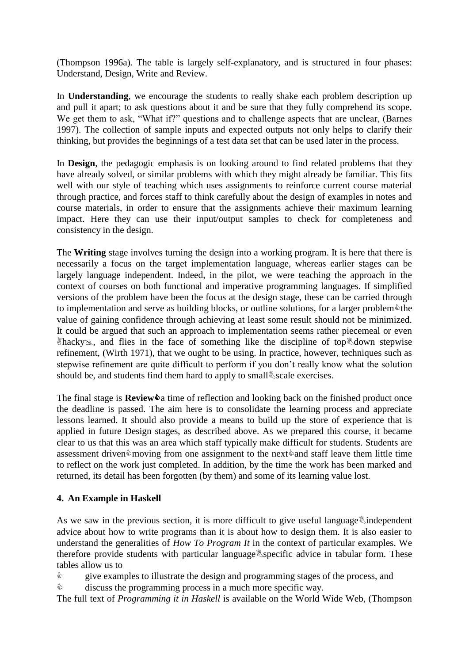(Thompson 1996a)*.* The table is largely self-explanatory, and is structured in four phases: Understand, Design, Write and Review.

In **Understanding**, we encourage the students to really shake each problem description up and pull it apart; to ask questions about it and be sure that they fully comprehend its scope. We get them to ask, "What if?" questions and to challenge aspects that are unclear, (Barnes 1997). The collection of sample inputs and expected outputs not only helps to clarify their thinking, but provides the beginnings of a test data set that can be used later in the process.

In **Design**, the pedagogic emphasis is on looking around to find related problems that they have already solved, or similar problems with which they might already be familiar. This fits well with our style of teaching which uses assignments to reinforce current course material through practice, and forces staff to think carefully about the design of examples in notes and course materials, in order to ensure that the assignments achieve their maximum learning impact. Here they can use their input/output samples to check for completeness and consistency in the design.

The **Writing** stage involves turning the design into a working program. It is here that there is necessarily a focus on the target implementation language, whereas earlier stages can be largely language independent. Indeed, in the pilot, we were teaching the approach in the context of courses on both functional and imperative programming languages. If simplified versions of the problem have been the focus at the design stage, these can be carried through to implementation and serve as building blocks, or outline solutions, for a larger problem $\hat{\bullet}$ the value of gaining confidence through achieving at least some result should not be minimized. It could be argued that such an approach to implementation seems rather piecemeal or even  $\theta$ hacky», and flies in the face of something like the discipline of top down stepwise refinement, (Wirth 1971), that we ought to be using. In practice, however, techniques such as stepwise refinement are quite difficult to perform if you don"t really know what the solution should be, and students find them hard to apply to small scale exercises.

The final stage is  $\text{Review} \& a$  time of reflection and looking back on the finished product once the deadline is passed. The aim here is to consolidate the learning process and appreciate lessons learned. It should also provide a means to build up the store of experience that is applied in future Design stages, as described above. As we prepared this course, it became clear to us that this was an area which staff typically make difficult for students. Students are assessment driven moving from one assignment to the next and staff leave them little time to reflect on the work just completed. In addition, by the time the work has been marked and returned, its detail has been forgotten (by them) and some of its learning value lost.

#### **4. An Example in Haskell**

As we saw in the previous section, it is more difficult to give useful language independent advice about how to write programs than it is about how to design them. It is also easier to understand the generalities of *How To Program It* in the context of particular examples. We therefore provide students with particular language specific advice in tabular form. These tables allow us to

 $\Diamond$  give examples to illustrate the design and programming stages of the process, and

 $\Diamond$  discuss the programming process in a much more specific way.

The full text of *Programming it in Haskell* is available on the World Wide Web, (Thompson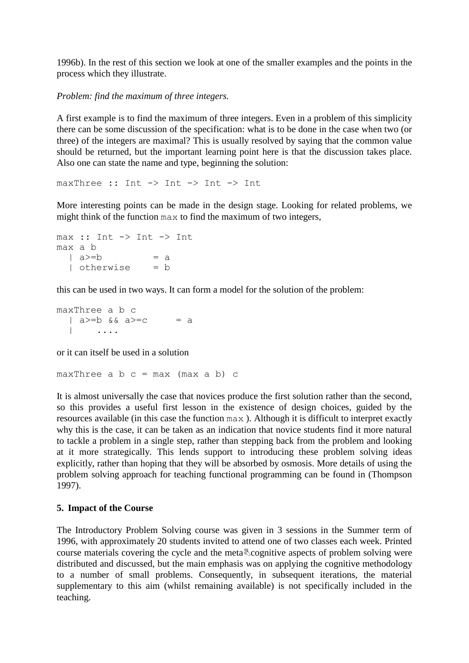1996b). In the rest of this section we look at one of the smaller examples and the points in the process which they illustrate.

*Problem: find the maximum of three integers.* 

A first example is to find the maximum of three integers. Even in a problem of this simplicity there can be some discussion of the specification: what is to be done in the case when two (or three) of the integers are maximal? This is usually resolved by saying that the common value should be returned, but the important learning point here is that the discussion takes place. Also one can state the name and type, beginning the solution:

maxThree :: Int -> Int -> Int -> Int

More interesting points can be made in the design stage. Looking for related problems, we might think of the function max to find the maximum of two integers,

```
max :: Int -> Int -> Int
max a b 
 | a>=b = a
  | otherwise = b
```
this can be used in two ways. It can form a model for the solution of the problem:

maxThree a b c  $|$  a>=b && a>=c = a | ....

or it can itself be used in a solution

maxThree a  $b$  c = max (max a  $b$ ) c

It is almost universally the case that novices produce the first solution rather than the second, so this provides a useful first lesson in the existence of design choices, guided by the resources available (in this case the function max ). Although it is difficult to interpret exactly why this is the case, it can be taken as an indication that novice students find it more natural to tackle a problem in a single step, rather than stepping back from the problem and looking at it more strategically. This lends support to introducing these problem solving ideas explicitly, rather than hoping that they will be absorbed by osmosis. More details of using the problem solving approach for teaching functional programming can be found in (Thompson 1997).

#### **5. Impact of the Course**

The Introductory Problem Solving course was given in 3 sessions in the Summer term of 1996, with approximately 20 students invited to attend one of two classes each week. Printed course materials covering the cycle and the meta *cognitive aspects* of problem solving were distributed and discussed, but the main emphasis was on applying the cognitive methodology to a number of small problems. Consequently, in subsequent iterations, the material supplementary to this aim (whilst remaining available) is not specifically included in the teaching.